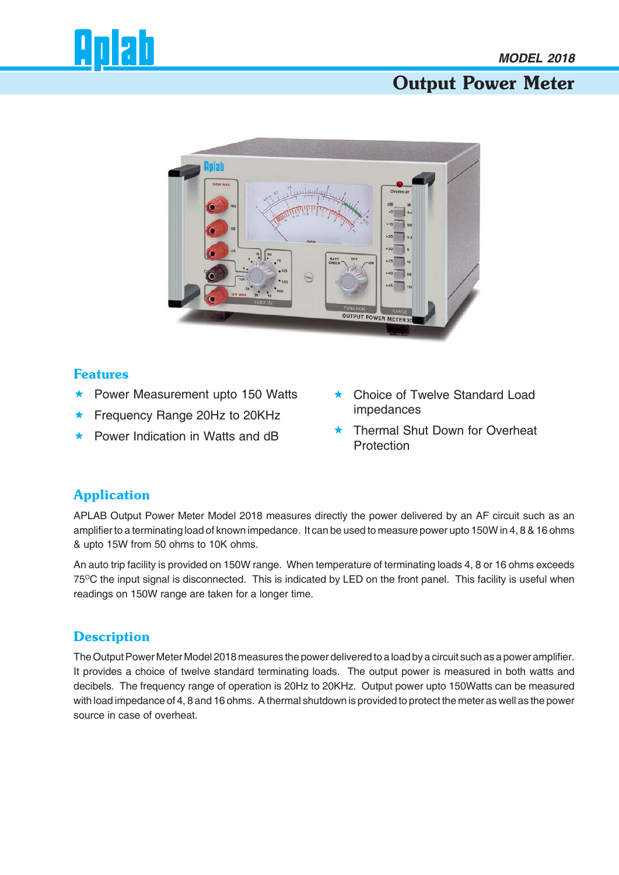# Output Power Meter



#### Features

- \* Power Measurement upto 150 Watts
- ★ Frequency Range 20Hz to 20KHz
- \* Power Indication in Watts and dB
- \* Choice of Twelve Standard Load impedances
- **\*** Thermal Shut Down for Overheat **Protection**

### Application

APLAB Output Power Meter Model 2018 measures directly the power delivered by an AF circuit such as an amplifier to a terminating load of known impedance. It can be used to measure power upto 150W in 4, 8 & 16 ohms & upto 15W from 50 ohms to 10K ohms.

An auto trip facility is provided on 150W range. When temperature of terminating loads 4, 8 or 16 ohms exceeds 75<sup>o</sup>C the input signal is disconnected. This is indicated by LED on the front panel. This facility is useful when readings on 150W range are taken for a longer time.

### **Description**

The Output Power Meter Model 2018 measures the power delivered to a load by a circuit such as a power amplifier. It provides a choice of twelve standard terminating loads. The output power is measured in both watts and decibels. The frequency range of operation is 20Hz to 20KHz. Output power upto 150Watts can be measured with load impedance of 4, 8 and 16 ohms. A thermal shutdown is provided to protect the meter as well as the power source in case of overheat.